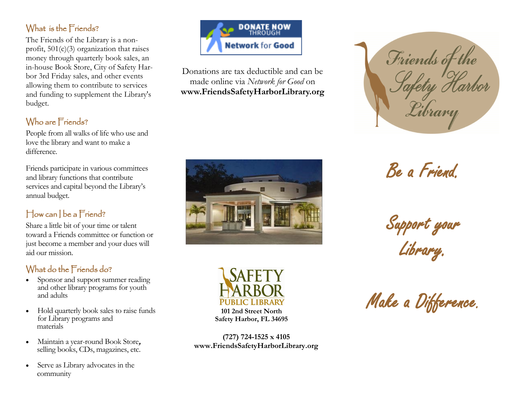### What is the Friends?

The Friends of the Library is a nonprofit, 501(c)(3) organization that raises money through quarterly book sales, an in-house Book Store, City of Safety Harbor 3rd Friday sales, and other events allowing them to contribute to services and funding to supplement the Library's budget.

## Who are Friends?

People from all walks of life who use and love the library and want to make a difference.

Friends participate in various committees and library functions that contribute services and capital beyond the Library's annual budget.

## How can I be a Friend?

Share a little bit of your time or talent toward a Friends committee or function or just become a member and your dues will aid our mission.

## What do the Friends do?

- Sponsor and support summer reading and other library programs for youth and adults
- Hold quarterly book sales to raise funds for Library programs and materials
- Maintain a year-round Book Store**,** selling books, CDs, magazines, etc.
- Serve as Library advocates in the community



Donations are tax deductible and can be made online via *Network for Good* on **www.FriendsSafetyHarborLibrary.org**





**101 2nd Street North Safety Harbor, FL 34695**

**(727) 724-1525 x 4105 www.FriendsSafetyHarborLibrary.org**



Be a Friend.

Support your Library.

Make a Difference.